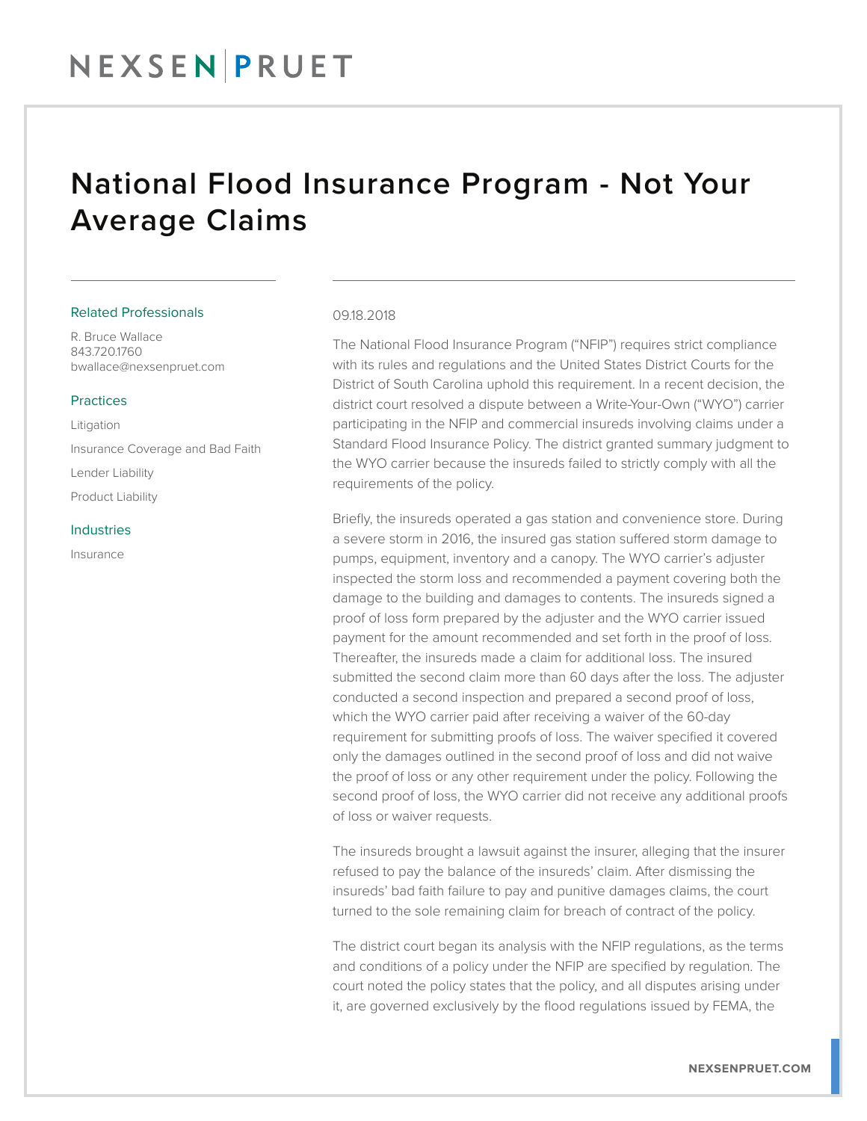## National Flood Insurance Program - Not Your Average Claims

#### Related Professionals

R. Bruce Wallace 843.720.1760 bwallace@nexsenpruet.com

#### Practices

Litigation Insurance Coverage and Bad Faith Lender Liability Product Liability

#### **Industries**

Insurance

#### 09.18.2018

The National Flood Insurance Program ("NFIP") requires strict compliance with its rules and regulations and the United States District Courts for the District of South Carolina uphold this requirement. In a recent decision, the district court resolved a dispute between a Write-Your-Own ("WYO") carrier participating in the NFIP and commercial insureds involving claims under a Standard Flood Insurance Policy. The district granted summary judgment to the WYO carrier because the insureds failed to strictly comply with all the requirements of the policy.

Briefly, the insureds operated a gas station and convenience store. During a severe storm in 2016, the insured gas station suffered storm damage to pumps, equipment, inventory and a canopy. The WYO carrier's adjuster inspected the storm loss and recommended a payment covering both the damage to the building and damages to contents. The insureds signed a proof of loss form prepared by the adjuster and the WYO carrier issued payment for the amount recommended and set forth in the proof of loss. Thereafter, the insureds made a claim for additional loss. The insured submitted the second claim more than 60 days after the loss. The adjuster conducted a second inspection and prepared a second proof of loss, which the WYO carrier paid after receiving a waiver of the 60-day requirement for submitting proofs of loss. The waiver specified it covered only the damages outlined in the second proof of loss and did not waive the proof of loss or any other requirement under the policy. Following the second proof of loss, the WYO carrier did not receive any additional proofs of loss or waiver requests.

The insureds brought a lawsuit against the insurer, alleging that the insurer refused to pay the balance of the insureds' claim. After dismissing the insureds' bad faith failure to pay and punitive damages claims, the court turned to the sole remaining claim for breach of contract of the policy.

The district court began its analysis with the NFIP regulations, as the terms and conditions of a policy under the NFIP are specified by regulation. The court noted the policy states that the policy, and all disputes arising under it, are governed exclusively by the flood regulations issued by FEMA, the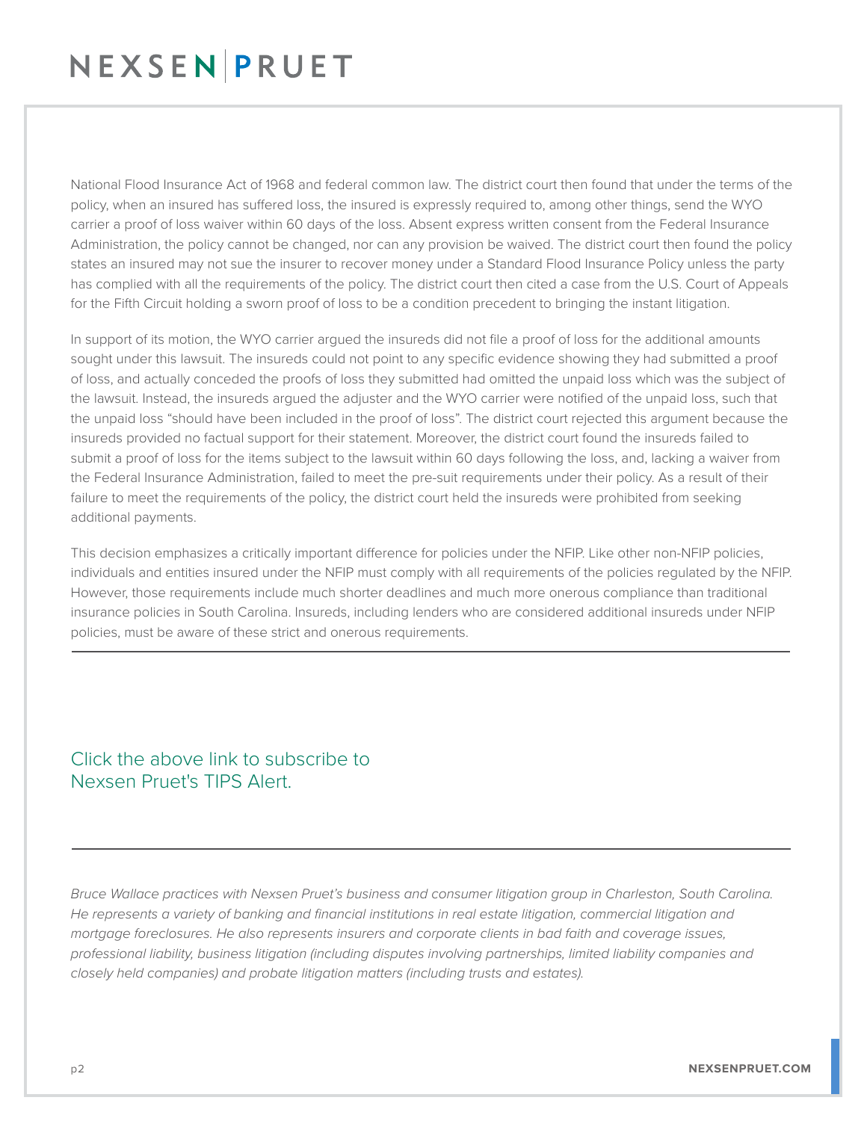## NEXSENPRUET

National Flood Insurance Act of 1968 and federal common law. The district court then found that under the terms of the policy, when an insured has suffered loss, the insured is expressly required to, among other things, send the WYO carrier a proof of loss waiver within 60 days of the loss. Absent express written consent from the Federal Insurance Administration, the policy cannot be changed, nor can any provision be waived. The district court then found the policy states an insured may not sue the insurer to recover money under a Standard Flood Insurance Policy unless the party has complied with all the requirements of the policy. The district court then cited a case from the U.S. Court of Appeals for the Fifth Circuit holding a sworn proof of loss to be a condition precedent to bringing the instant litigation.

In support of its motion, the WYO carrier argued the insureds did not file a proof of loss for the additional amounts sought under this lawsuit. The insureds could not point to any specific evidence showing they had submitted a proof of loss, and actually conceded the proofs of loss they submitted had omitted the unpaid loss which was the subject of the lawsuit. Instead, the insureds argued the adjuster and the WYO carrier were notified of the unpaid loss, such that the unpaid loss "should have been included in the proof of loss". The district court rejected this argument because the insureds provided no factual support for their statement. Moreover, the district court found the insureds failed to submit a proof of loss for the items subject to the lawsuit within 60 days following the loss, and, lacking a waiver from the Federal Insurance Administration, failed to meet the pre-suit requirements under their policy. As a result of their failure to meet the requirements of the policy, the district court held the insureds were prohibited from seeking additional payments.

This decision emphasizes a critically important difference for policies under the NFIP. Like other non-NFIP policies, individuals and entities insured under the NFIP must comply with all requirements of the policies regulated by the NFIP. However, those requirements include much shorter deadlines and much more onerous compliance than traditional insurance policies in South Carolina. Insureds, including lenders who are considered additional insureds under NFIP policies, must be aware of these strict and onerous requirements.  $\overline{\phantom{a}}$ 

### Click the above link to subscribe to Nexsen Pruet's TIPS Alert.

*Bruce Wallace practices with Nexsen Pruet's business and consumer litigation group in Charleston, South Carolina. He represents a variety of banking and financial institutions in real estate litigation, commercial litigation and mortgage foreclosures. He also represents insurers and corporate clients in bad faith and coverage issues, professional liability, business litigation (including disputes involving partnerships, limited liability companies and closely held companies) and probate litigation matters (including trusts and estates).*

 $\overline{a}$